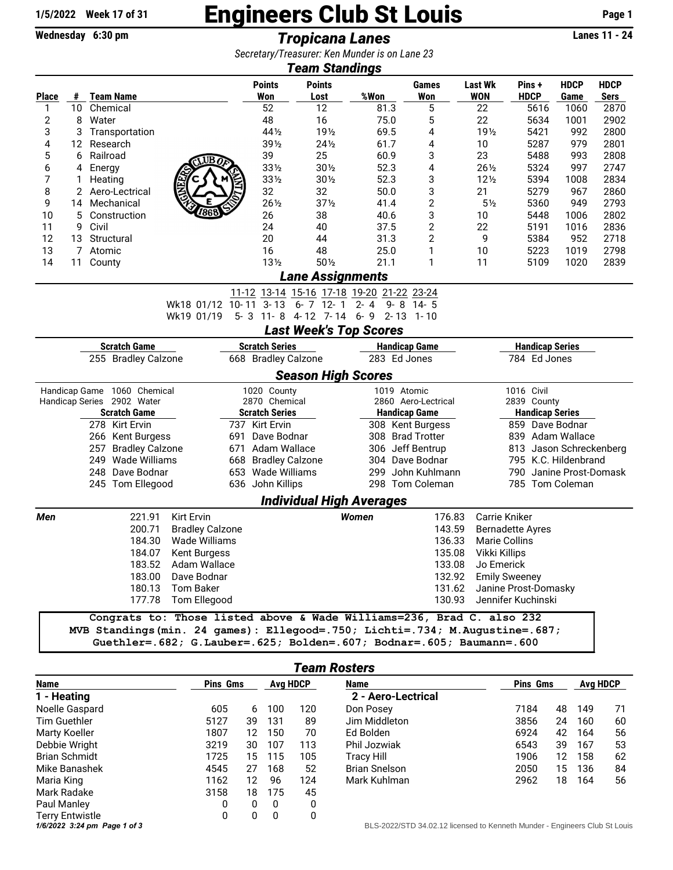## 1/5/2022 Week 17 of 31 **Engineers Club St Louis** Page 1

**Wednesday 6:30 pm** *Tropicana Lanes* **Lanes 11 - 24**

| Secretary/Treasurer: Ken Munder is on Lane 23<br>Team Standings |                             |                                                                              |                                                                                                                                                    |                                   |                       |                                           |                  |                      |                                     |                         |                     |                     |  |  |
|-----------------------------------------------------------------|-----------------------------|------------------------------------------------------------------------------|----------------------------------------------------------------------------------------------------------------------------------------------------|-----------------------------------|-----------------------|-------------------------------------------|------------------|----------------------|-------------------------------------|-------------------------|---------------------|---------------------|--|--|
| <b>Place</b>                                                    |                             | # Team Name                                                                  |                                                                                                                                                    | <b>Points</b><br>Won              | <b>Points</b><br>Lost | %Won                                      |                  | Games<br>Won         | <b>Last Wk</b><br><b>WON</b>        | Pins+<br><b>HDCP</b>    | <b>HDCP</b><br>Game | <b>HDCP</b><br>Sers |  |  |
| 1                                                               | 10 <sup>°</sup>             | Chemical                                                                     |                                                                                                                                                    | 52                                | 12                    |                                           | 81.3             | 5                    | 22                                  | 5616                    | 1060                | 2870                |  |  |
| $\mathbf{2}$                                                    | 8                           | Water                                                                        |                                                                                                                                                    | 48                                | 16                    |                                           | 75.0             | 5                    | 22                                  | 5634                    | 1001                | 2902                |  |  |
| 3                                                               | 3                           | Transportation                                                               |                                                                                                                                                    | 44 1/2                            | 19 <sub>2</sub>       |                                           | 69.5             | 4                    | 19 <sub>2</sub>                     | 5421                    | 992                 | 2800                |  |  |
| 4                                                               | 12                          | Research                                                                     |                                                                                                                                                    | $39\frac{1}{2}$                   | $24\frac{1}{2}$       |                                           | 61.7             | 4                    | 10                                  | 5287                    | 979                 | 2801                |  |  |
| 5                                                               | 6                           | Railroad                                                                     | $\epsilon$ UBO                                                                                                                                     | 39                                | 25                    |                                           | 60.9             | 3                    | 23                                  | 5488                    | 993                 | 2808                |  |  |
| 6                                                               | 4<br>Energy                 |                                                                              |                                                                                                                                                    | 331/2                             | 301/2                 |                                           | 52.3             | 4                    | $26\frac{1}{2}$                     | 5324                    | 997                 | 2747                |  |  |
| 7                                                               | 1                           | Heating                                                                      |                                                                                                                                                    | $33\frac{1}{2}$                   | $30\%$                |                                           | 52.3             | 3                    | $12\frac{1}{2}$                     | 5394                    | 1008                | 2834                |  |  |
| 8                                                               | 2                           | Aero-Lectrical                                                               | E                                                                                                                                                  | 32                                | 32                    |                                           | 50.0             | 3                    | 21                                  | 5279                    | 967                 | 2860                |  |  |
| 9                                                               | 14                          | Mechanical                                                                   | 7868                                                                                                                                               | $26\frac{1}{2}$                   | $37\frac{1}{2}$       |                                           | 41.4             | $\mathbf 2$          | $5\frac{1}{2}$                      | 5360                    | 949                 | 2793                |  |  |
| 10                                                              | 5                           | Construction                                                                 |                                                                                                                                                    | 26                                | 38                    |                                           | 40.6             | 3                    | 10                                  | 5448                    | 1006                | 2802                |  |  |
| 11<br>12                                                        | 9                           | Civil<br>Structural                                                          |                                                                                                                                                    | 24<br>20                          | 40<br>44              |                                           | 37.5<br>31.3     | 2<br>2               | 22<br>9                             | 5191<br>5384            | 1016<br>952         | 2836<br>2718        |  |  |
| 13                                                              | 13<br>7                     | Atomic                                                                       |                                                                                                                                                    | 16                                | 48                    |                                           | 25.0             | 1                    | 10                                  | 5223                    | 1019                | 2798                |  |  |
| 14                                                              | 11                          | County                                                                       |                                                                                                                                                    | 13 <sub>2</sub>                   | $50\%$                |                                           | 21.1             | 1                    | 11                                  | 5109                    | 1020                | 2839                |  |  |
|                                                                 |                             |                                                                              |                                                                                                                                                    |                                   |                       | <b>Lane Assignments</b>                   |                  |                      |                                     |                         |                     |                     |  |  |
|                                                                 |                             |                                                                              |                                                                                                                                                    |                                   |                       | 11-12 13-14 15-16 17-18 19-20 21-22 23-24 |                  |                      |                                     |                         |                     |                     |  |  |
|                                                                 |                             |                                                                              | Wk18 01/12 10-11                                                                                                                                   | $3 - 13$                          | $6 - 7$ 12 - 1        | $2 - 4$                                   | $9 - 8$          | -14-5                |                                     |                         |                     |                     |  |  |
|                                                                 |                             |                                                                              | Wk19 01/19                                                                                                                                         | $5 - 3$                           | $11 - 8$ 4-12 7-14    | $6 - 9$                                   | $2 - 13$         | 1-10                 |                                     |                         |                     |                     |  |  |
|                                                                 |                             |                                                                              |                                                                                                                                                    |                                   |                       | <b>Last Week's Top Scores</b>             |                  |                      |                                     |                         |                     |                     |  |  |
| <b>Scratch Game</b><br><b>Scratch Series</b>                    |                             |                                                                              |                                                                                                                                                    |                                   |                       | <b>Handicap Game</b>                      |                  |                      | <b>Handicap Series</b>              |                         |                     |                     |  |  |
| 255 Bradley Calzone                                             |                             |                                                                              |                                                                                                                                                    | 668 Bradley Calzone               |                       | 283 Ed Jones                              |                  |                      | 784 Ed Jones                        |                         |                     |                     |  |  |
|                                                                 |                             |                                                                              |                                                                                                                                                    |                                   |                       | <b>Season High Scores</b>                 |                  |                      |                                     |                         |                     |                     |  |  |
|                                                                 | Handicap Game 1060 Chemical |                                                                              |                                                                                                                                                    | 1020 County                       |                       | 1019 Atomic                               |                  |                      | 1016 Civil                          |                         |                     |                     |  |  |
|                                                                 |                             | Handicap Series 2902 Water                                                   |                                                                                                                                                    | 2870 Chemical                     |                       |                                           |                  | 2860 Aero-Lectrical  |                                     | 2839 County             |                     |                     |  |  |
|                                                                 |                             | <b>Scratch Game</b>                                                          |                                                                                                                                                    | <b>Scratch Series</b>             |                       |                                           |                  | <b>Handicap Game</b> |                                     | <b>Handicap Series</b>  |                     |                     |  |  |
|                                                                 | 278 Kirt Ervin              |                                                                              |                                                                                                                                                    | 737 Kirt Ervin<br>691 Dave Bodnar |                       | 308 Kent Burgess<br>308 Brad Trotter      |                  |                      | 859 Dave Bodnar<br>839 Adam Wallace |                         |                     |                     |  |  |
| 266 Kent Burgess<br>257<br><b>Bradley Calzone</b>               |                             |                                                                              |                                                                                                                                                    | 671 Adam Wallace                  |                       |                                           | 306 Jeff Bentrup |                      |                                     | 813 Jason Schreckenberg |                     |                     |  |  |
|                                                                 | Wade Williams<br>249        |                                                                              |                                                                                                                                                    | 668 Bradley Calzone               |                       | 304 Dave Bodnar                           |                  |                      | 795 K.C. Hildenbrand                |                         |                     |                     |  |  |
|                                                                 |                             | 248 Dave Bodnar                                                              |                                                                                                                                                    | 653 Wade Williams                 |                       | 299                                       |                  | John Kuhlmann        |                                     | 790 Janine Prost-Domask |                     |                     |  |  |
|                                                                 | 245 Tom Ellegood            |                                                                              |                                                                                                                                                    | 636 John Killips                  | 298 Tom Coleman       |                                           |                  | 785 Tom Coleman      |                                     |                         |                     |                     |  |  |
|                                                                 |                             |                                                                              |                                                                                                                                                    |                                   |                       | <b>Individual High Averages</b>           |                  |                      |                                     |                         |                     |                     |  |  |
| Men                                                             |                             | 221.91                                                                       | <b>Kirt Ervin</b>                                                                                                                                  |                                   |                       | Women                                     |                  | 176.83               |                                     | Carrie Kniker           |                     |                     |  |  |
|                                                                 |                             | 200.71                                                                       | <b>Bradley Calzone</b>                                                                                                                             |                                   | 143.59                |                                           |                  |                      | <b>Bernadette Ayres</b>             |                         |                     |                     |  |  |
|                                                                 |                             | 184.30                                                                       | Wade Williams                                                                                                                                      |                                   |                       |                                           |                  | 136.33               |                                     | <b>Marie Collins</b>    |                     |                     |  |  |
|                                                                 |                             | 184.07                                                                       | <b>Kent Burgess</b>                                                                                                                                |                                   |                       |                                           |                  | 135.08               | Vikki Killips                       |                         |                     |                     |  |  |
|                                                                 |                             |                                                                              | 183.52 Adam Wallace                                                                                                                                |                                   |                       |                                           |                  | 133.08               | Jo Emerick                          |                         |                     |                     |  |  |
|                                                                 |                             |                                                                              | 183.00 Dave Bodnar                                                                                                                                 |                                   |                       |                                           |                  | 132.92               |                                     | <b>Emily Sweeney</b>    |                     |                     |  |  |
| 180.13 Tom Baker                                                |                             |                                                                              |                                                                                                                                                    |                                   |                       | 131.62                                    |                  |                      |                                     | Janine Prost-Domasky    |                     |                     |  |  |
|                                                                 |                             |                                                                              | 177.78 Tom Ellegood                                                                                                                                |                                   |                       |                                           |                  | 130.93               |                                     | Jennifer Kuchinski      |                     |                     |  |  |
|                                                                 |                             | MVB Standings (min. 24 games): Ellegood=.750; Lichti=.734; M.Augustine=.687; | Congrats to: Those listed above & Wade Williams=236, Brad C. also 232<br>Guethler=. 682; G.Lauber=. 625; Bolden=. 607; Bodnar=. 605; Baumann=. 600 |                                   |                       |                                           |                  |                      |                                     |                         |                     |                     |  |  |
|                                                                 |                             |                                                                              |                                                                                                                                                    |                                   |                       | <b>Team Rosters</b>                       |                  |                      |                                     |                         |                     |                     |  |  |

| <b>Team Rosters</b>    |          |    |                 |     |                      |                 |    |          |    |  |
|------------------------|----------|----|-----------------|-----|----------------------|-----------------|----|----------|----|--|
| Name                   | Pins Gms |    | <b>Avg HDCP</b> |     | Name                 | <b>Pins Gms</b> |    | Avg HDCP |    |  |
| 1 - Heating            |          |    |                 |     | 2 - Aero-Lectrical   |                 |    |          |    |  |
| Noelle Gaspard         | 605      | 6  | 100             | 120 | Don Posey            | 7184            | 48 | 149      | 71 |  |
| Tim Guethler           | 5127     | 39 | 131             | 89  | Jim Middleton        | 3856            | 24 | 160      | 60 |  |
| Marty Koeller          | 1807     | 12 | 150             | 70  | Ed Bolden            | 6924            | 42 | 164      | 56 |  |
| Debbie Wright          | 3219     | 30 | 107             | 113 | Phil Jozwiak         | 6543            | 39 | 167      | 53 |  |
| <b>Brian Schmidt</b>   | 1725     | 15 | 115             | 105 | Tracy Hill           | 1906            | 12 | 158      | 62 |  |
| Mike Banashek          | 4545     | 27 | 168             | 52  | <b>Brian Snelson</b> | 2050            | 15 | 136      | 84 |  |
| Maria King             | 1162     | 12 | 96              | 124 | Mark Kuhlman         | 2962            | 18 | 164      | 56 |  |
| Mark Radake            | 3158     | 18 | 175             | 45  |                      |                 |    |          |    |  |
| Paul Manley            | 0        | 0  | 0               | 0   |                      |                 |    |          |    |  |
| <b>Terry Entwistle</b> | 0        | 0  | 0               | 0   |                      |                 |    |          |    |  |
|                        |          |    |                 |     |                      | .               |    |          |    |  |